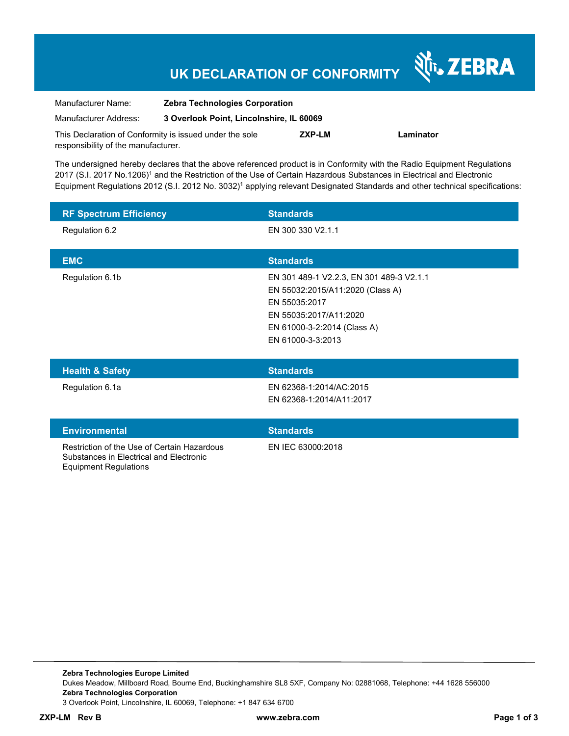# **UK DECLARATION OF CONFORMITY**

श्री<sub>1</sub>, ZEBRA

| Manufacturer Name:                                      | <b>Zebra Technologies Corporation</b>    |        |           |
|---------------------------------------------------------|------------------------------------------|--------|-----------|
| Manufacturer Address:                                   | 3 Overlook Point, Lincolnshire, IL 60069 |        |           |
| This Declaration of Conformity is issued under the sole |                                          | ZXP-LM | Laminator |
| responsibility of the manufacturer.                     |                                          |        |           |

The undersigned hereby declares that the above referenced product is in Conformity with the Radio Equipment Regulations 2017 (S.I. 2017 No.1206)<sup>1</sup> and the Restriction of the Use of Certain Hazardous Substances in Electrical and Electronic Equipment Regulations 2012 (S.I. 2012 No. 3032)<sup>1</sup> applying relevant Designated Standards and other technical specifications:

| <b>RF Spectrum Efficiency</b>               | <b>Standards</b>                                                                                                                                                            |
|---------------------------------------------|-----------------------------------------------------------------------------------------------------------------------------------------------------------------------------|
| Regulation 6.2                              | EN 300 330 V2.1.1                                                                                                                                                           |
| <b>EMC</b>                                  | <b>Standards</b>                                                                                                                                                            |
| Regulation 6.1b                             | EN 301 489-1 V2.2.3, EN 301 489-3 V2.1.1<br>EN 55032:2015/A11:2020 (Class A)<br>EN 55035:2017<br>EN 55035:2017/A11:2020<br>EN 61000-3-2:2014 (Class A)<br>EN 61000-3-3:2013 |
| <b>Health &amp; Safety</b>                  | <b>Standards</b>                                                                                                                                                            |
| Regulation 6.1a                             | EN 62368-1:2014/AC:2015<br>EN 62368-1:2014/A11:2017                                                                                                                         |
| <b>Environmental</b>                        | <b>Standards</b>                                                                                                                                                            |
| Restriction of the Use of Certain Hazardous | EN IEC 63000:2018                                                                                                                                                           |

**Zebra Technologies Europe Limited**  Dukes Meadow, Millboard Road, Bourne End, Buckinghamshire SL8 5XF, Company No: 02881068, Telephone: +44 1628 556000 **Zebra Technologies Corporation**  3 Overlook Point, Lincolnshire, IL 60069, Telephone: +1 847 634 6700

Substances in Electrical and Electronic

Equipment Regulations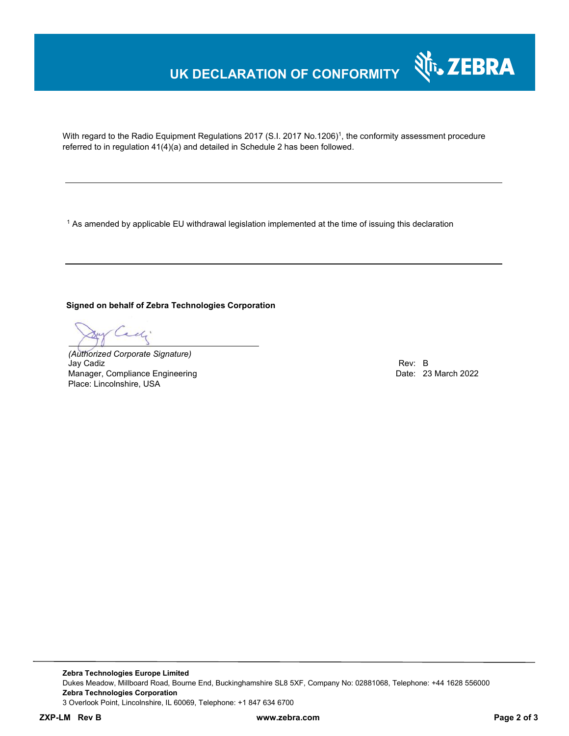## **UK DECLARATION OF CONFORMITY**

With regard to the Radio Equipment Regulations 2017 (S.I. 2017 No.1206)<sup>1</sup>, the conformity assessment procedure referred to in regulation 41(4)(a) and detailed in Schedule 2 has been followed.

 $^{\rm 1}$  As amended by applicable EU withdrawal legislation implemented at the time of issuing this declaration

**Signed on behalf of Zebra Technologies Corporation** 

*(Authorized Corporate Signature)* Jay Cadiz Rev: B Manager, Compliance Engineering Place: Lincolnshire, USA

Nr. ZEBRA

**Zebra Technologies Europe Limited**  Dukes Meadow, Millboard Road, Bourne End, Buckinghamshire SL8 5XF, Company No: 02881068, Telephone: +44 1628 556000 **Zebra Technologies Corporation**  3 Overlook Point, Lincolnshire, IL 60069, Telephone: +1 847 634 6700